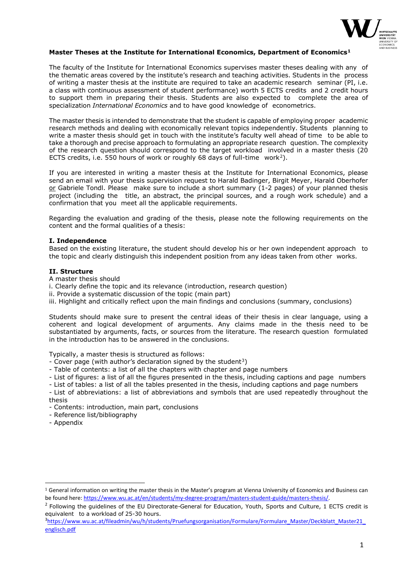

# **Master Theses at the Institute for International Economics, Department of Economics[1](#page-0-0)**

The faculty of the Institute for International Economics supervises master theses dealing with any of the thematic areas covered by the institute's research and teaching activities. Students in the process of writing a master thesis at the institute are required to take an academic research seminar (PI, i.e. a class with continuous assessment of student performance) worth 5 ECTS credits and 2 credit hours to support them in preparing their thesis. Students are also expected to complete the area of specialization *International Economics* and to have good knowledge of econometrics.

The master thesis is intended to demonstrate that the student is capable of employing proper academic research methods and dealing with economically relevant topics independently. Students planning to write a master thesis should get in touch with the institute's faculty well ahead of time to be able to take a thorough and precise approach to formulating an appropriate research question. The complexity of the research question should correspond to the target workload involved in a master thesis (20 ECTS credits, i.e. 550 hours of work or roughly 68 days of full-time work[2\)](#page-0-1).

If you are interested in writing a master thesis at the Institute for International Economics, please send an email with your thesis supervision request to Harald Badinger, Birgit Meyer, Harald Oberhofer  $or$  Gabriele Tondl. Please make sure to include a short summary (1-2 pages) of your planned thesis project (including the title, an abstract, the principal sources, and a rough work schedule) and a confirmation that you meet all the applicable requirements.

Regarding the evaluation and grading of the thesis, please note the following requirements on the content and the formal qualities of a thesis:

# **I. Independence**

Based on the existing literature, the student should develop his or her own independent approach to the topic and clearly distinguish this independent position from any ideas taken from other works.

## **II. Structure**

A master thesis should

- i. Clearly define the topic and its relevance (introduction, research question)
- ii. Provide a systematic discussion of the topic (main part)
- iii. Highlight and critically reflect upon the main findings and conclusions (summary, conclusions)

Students should make sure to present the central ideas of their thesis in clear language, using a coherent and logical development of arguments. Any claims made in the thesis need to be substantiated by arguments, facts, or sources from the literature. The research question formulated in the introduction has to be answered in the conclusions.

Typically, a master thesis is structured as follows:

- Cover page (with author's declaration signed by the student<sup>3</sup>)
- Table of contents: a list of all the chapters with chapter and page numbers
- List of figures: a list of all the figures presented in the thesis, including captions and page numbers
- List of tables: a list of all the tables presented in the thesis, including captions and page numbers
- List of abbreviations: a list of abbreviations and symbols that are used repeatedly throughout the thesis
- Contents: introduction, main part, conclusions
- Reference list/bibliography
- Appendix

<span id="page-0-0"></span><sup>&</sup>lt;sup>1</sup> General information on writing the master thesis in the Master's program at Vienna University of Economics and Business can be found here: https://www.wu.ac.at/en/students/my-degree-program/masters-student-guide/master

<span id="page-0-1"></span><sup>&</sup>lt;sup>2</sup> Following the guidelines of the EU Directorate-General for Education, Youth, Sports and Culture, 1 ECTS credit is equivalent to a workload of 25-30 hours.

<span id="page-0-2"></span><sup>&</sup>lt;sup>3</sup>[https://www.wu.ac.at/fileadmin/wu/h/students/Pruefungsorganisation/Formulare/Formulare\\_Master/Deckblatt\\_Master21\\_](https://www.wu.ac.at/fileadmin/wu/h/students/Pruefungsorganisation/Formulare/Formulare_Master/Deckblatt_Master21_englisch.pdf) [englisch.pdf](https://www.wu.ac.at/fileadmin/wu/h/students/Pruefungsorganisation/Formulare/Formulare_Master/Deckblatt_Master21_englisch.pdf)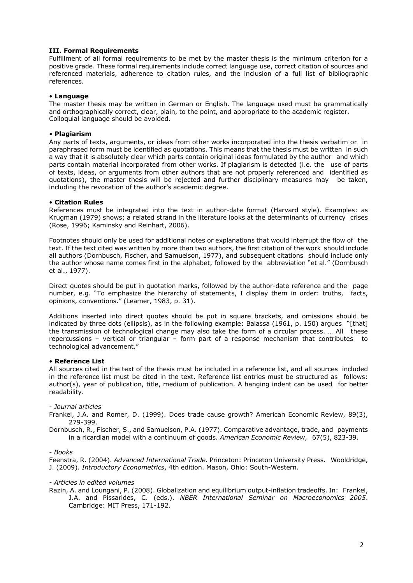# **III. Formal Requirements**

Fulfillment of all formal requirements to be met by the master thesis is the minimum criterion for a positive grade. These formal requirements include correct language use, correct citation of sources and referenced materials, adherence to citation rules, and the inclusion of a full list of bibliographic references.

### • **Language**

The master thesis may be written in German or English. The language used must be grammatically and orthographically correct, clear, plain, to the point, and appropriate to the academic register. Colloquial language should be avoided.

## • **Plagiarism**

Any parts of texts, arguments, or ideas from other works incorporated into the thesis verbatim or in paraphrased form must be identified as quotations. This means that the thesis must be written in such a way that it is absolutely clear which parts contain original ideas formulated by the author and which parts contain material incorporated from other works. If plagiarism is detected (i.e. the use of parts of texts, ideas, or arguments from other authors that are not properly referenced and identified as quotations), the master thesis will be rejected and further disciplinary measures may be taken, including the revocation of the author's academic degree.

## • **Citation Rules**

References must be integrated into the text in author-date format (Harvard style). Examples: as Krugman (1979) shows; a related strand in the literature looks at the determinants of currency crises (Rose, 1996; Kaminsky and Reinhart, 2006).

Footnotes should only be used for additional notes or explanations that would interrupt the flow of the text. If the text cited was written by more than two authors, the first citation of the work should include all authors (Dornbusch, Fischer, and Samuelson, 1977), and subsequent citations should include only the author whose name comes first in the alphabet, followed by the abbreviation "et al." (Dornbusch et al., 1977).

Direct quotes should be put in quotation marks, followed by the author-date reference and the page number, e.g. "To emphasize the hierarchy of statements, I display them in order: truths, facts, opinions, conventions." (Leamer, 1983, p. 31).

Additions inserted into direct quotes should be put in square brackets, and omissions should be indicated by three dots (ellipsis), as in the following example: Balassa (1961, p. 150) argues "[that] the transmission of technological change may also take the form of a circular process. … All these repercussions – vertical or triangular – form part of a response mechanism that contributes to technological advancement."

# • **Reference List**

All sources cited in the text of the thesis must be included in a reference list, and all sources included in the reference list must be cited in the text. Reference list entries must be structured as follows: author(s), year of publication, title, medium of publication. A hanging indent can be used for better readability.

## *- Journal articles*

Frankel, J.A. and Romer, D. (1999). Does trade cause growth? American Economic Review, 89(3), 279-399.

Dornbusch, R., Fischer, S., and Samuelson, P.A. (1977). Comparative advantage, trade, and payments in a ricardian model with a continuum of goods. *American Economic Review*, 67(5), 823-39.

#### *- Books*

Feenstra, R. (2004). *Advanced International Trade*. Princeton: Princeton University Press. Wooldridge, J. (2009). *Introductory Econometrics*, 4th edition. Mason, Ohio: South-Western.

#### *- Articles in edited volumes*

Razin, A. and Loungani, P. (2008). Globalization and equilibrium output-inflation tradeoffs. In: Frankel, J.A. and Pissarides, C. (eds.). *NBER International Seminar on Macroeconomics 2005*. Cambridge: MIT Press, 171-192.